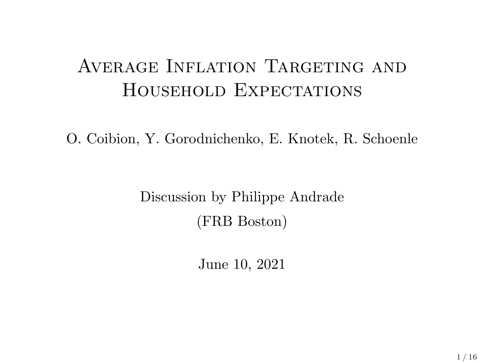## AVERAGE INFLATION TARGETING AND HOUSEHOLD EXPECTATIONS

O. Coibion, Y. Gorodnichenko, E. Knotek, R. Schoenle

Discussion by Philippe Andrade (FRB Boston)

June 10, 2021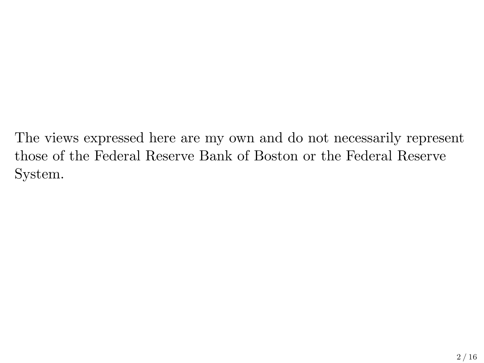The views expressed here are my own and do not necessarily represent those of the Federal Reserve Bank of Boston or the Federal Reserve System.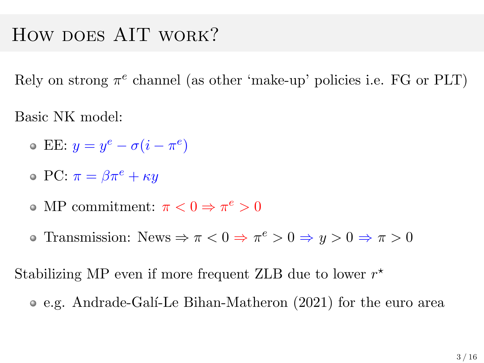#### HOW DOES AIT WORK?

Rely on strong  $\pi^e$  channel (as other 'make-up' policies i.e. FG or PLT)

Basic NK model:

- EE:  $y = y^e \sigma(i \pi^e)$
- $\circ \text{PC: } \pi = \beta \pi^e + \kappa y$
- MP commitment:  $\pi < 0 \Rightarrow \pi^e > 0$
- Transmission: News  $\Rightarrow \pi < 0 \Rightarrow \pi^e > 0 \Rightarrow y > 0 \Rightarrow \pi > 0$

Stabilizing MP even if more frequent ZLB due to lower  $r^*$ 

e.g. Andrade-Gal´ı-Le Bihan-Matheron (2021) for the euro area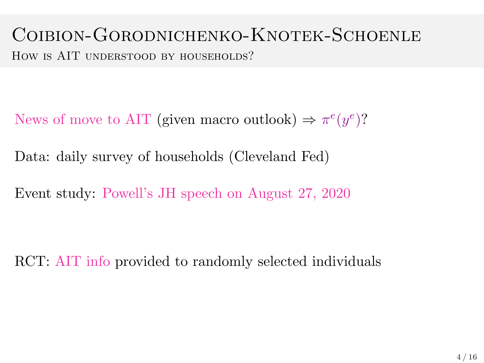#### Coibion-Gorodnichenko-Knotek-Schoenle HOW IS AIT UNDERSTOOD BY HOUSEHOLDS?

News of move to AIT (given macro outlook)  $\Rightarrow \pi^e(y^e)$ ?

Data: daily survey of households (Cleveland Fed)

Event study: Powell's JH speech on August 27, 2020

RCT: AIT info provided to randomly selected individuals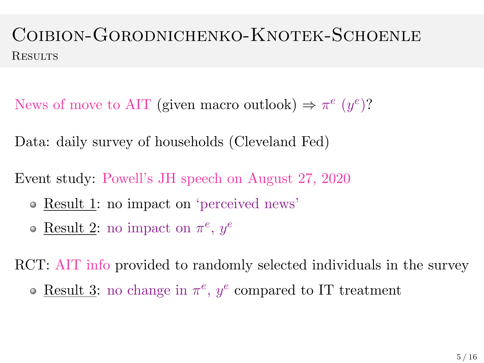#### Coibion-Gorodnichenko-Knotek-Schoenle **RESULTS**

News of move to AIT (given macro outlook)  $\Rightarrow \pi^e(y^e)$ ?

Data: daily survey of households (Cleveland Fed)

Event study: Powell's JH speech on August 27, 2020

- Result 1: no impact on 'perceived news'
- Result 2: no impact on  $\pi^e$ ,  $y^e$

RCT: AIT info provided to randomly selected individuals in the survey

Result 3: no change in  $\pi^e$ ,  $y^e$  compared to IT treatment  $\bullet$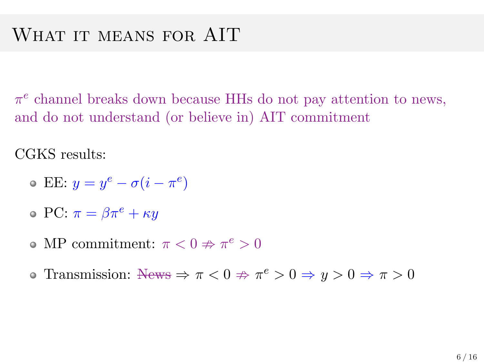$\pi^e$  channel breaks down because HHs do not pay attention to news, and do not understand (or believe in) AIT commitment

CGKS results:

- EE:  $y = y^e \sigma(i \pi^e)$
- $\circ \text{PC: } \pi = \beta \pi^e + \kappa u$
- MP commitment:  $\pi < 0 \nRightarrow \pi^e > 0$
- Transmission:  $\text{News} \Rightarrow \pi < 0 \Rightarrow \pi^e > 0 \Rightarrow y > 0 \Rightarrow \pi > 0$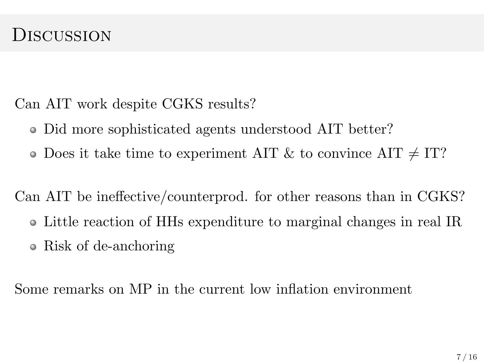#### **DISCUSSION**

Can AIT work despite CGKS results?

- Did more sophisticated agents understood AIT better?  $\bullet$
- Does it take time to experiment AIT & to convince AIT  $\neq$  IT?

Can AIT be ineffective/counterprod. for other reasons than in CGKS?

- Little reaction of HHs expenditure to marginal changes in real IR
- Risk of de-anchoring  $\bullet$

Some remarks on MP in the current low inflation environment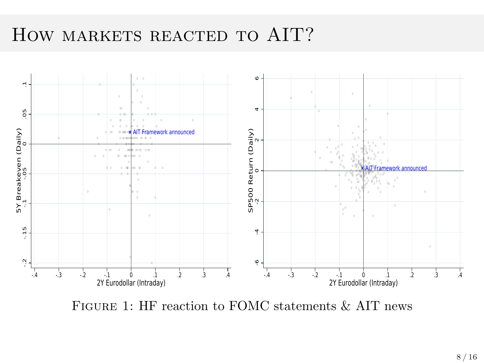#### HOW MARKETS REACTED TO AIT?



FIGURE 1: HF reaction to FOMC statements & AIT news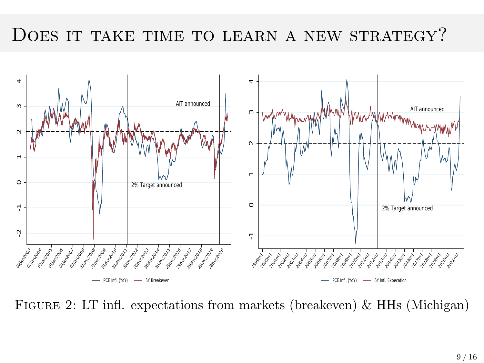#### DOES IT TAKE TIME TO LEARN A NEW STRATEGY?



Figure 2: LT infl. expectations from markets (breakeven) & HHs (Michigan)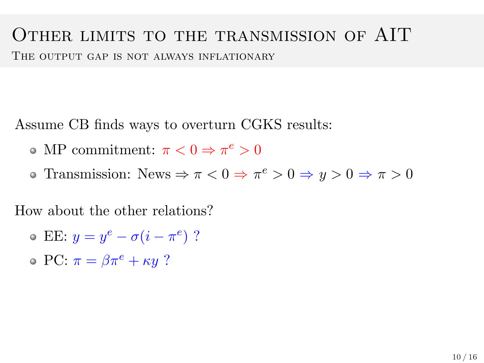#### Other limits to the transmission of AIT

THE OUTPUT GAP IS NOT ALWAYS INFLATIONARY

Assume CB finds ways to overturn CGKS results:

- MP commitment:  $\pi < 0 \Rightarrow \pi^e > 0$
- Transmission: News  $\Rightarrow \pi < 0 \Rightarrow \pi^e > 0 \Rightarrow y > 0 \Rightarrow \pi > 0$

How about the other relations?

- EE:  $y = y^e \sigma(i \pi^e)$  ?
- $\circ$  PC:  $\pi = \beta \pi^e + \kappa y$  ?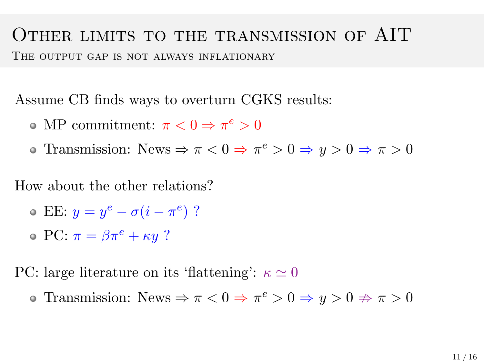# Other limits to the transmission of AIT

THE OUTPUT GAP IS NOT ALWAYS INFLATIONARY

Assume CB finds ways to overturn CGKS results:

- MP commitment:  $\pi < 0 \Rightarrow \pi^e > 0$
- Transmission: News  $\Rightarrow \pi < 0 \Rightarrow \pi^e > 0 \Rightarrow y > 0 \Rightarrow \pi > 0$

How about the other relations?

- EE:  $y = y^e \sigma(i \pi^e)$  ?
- $\circ \text{PC: } \pi = \beta \pi^e + \kappa y$  ?

PC: large literature on its 'flattening':  $\kappa \simeq 0$ 

Transmission: News  $\Rightarrow \pi < 0 \Rightarrow \pi^e > 0 \Rightarrow y > 0 \Rightarrow \pi > 0$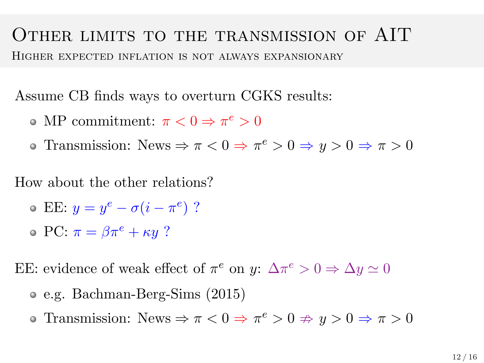#### Other limits to the transmission of AIT Higher expected inflation is not always expansionary

Assume CB finds ways to overturn CGKS results:

- MP commitment:  $\pi < 0 \Rightarrow \pi^e > 0$
- Transmission: News  $\Rightarrow \pi < 0 \Rightarrow \pi^e > 0 \Rightarrow y > 0 \Rightarrow \pi > 0$

How about the other relations?

- EE:  $y = y^e \sigma(i \pi^e)$  ?
- $\circ$  PC:  $\pi = \beta \pi^e + \kappa y$  ?

EE: evidence of weak effect of  $\pi^e$  on  $y: \Delta \pi^e > 0 \Rightarrow \Delta y \simeq 0$ 

- e.g. Bachman-Berg-Sims (2015)
- Transmission: News  $\Rightarrow \pi < 0 \Rightarrow \pi^e > 0 \Rightarrow y > 0 \Rightarrow \pi > 0$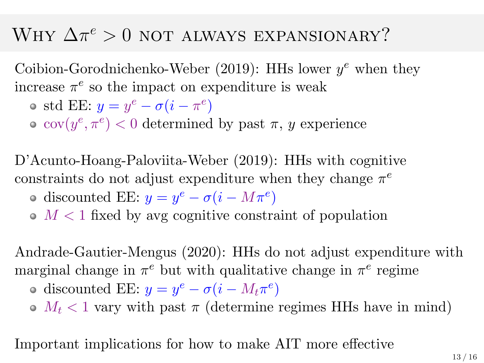# WHY  $\Delta \pi^e > 0$  not always expansionary?

Coibion-Gorodnichenko-Weber (2019): HHs lower  $y^e$  when they increase  $\pi^e$  so the impact on expenditure is weak

- std EE:  $y = y^e \sigma(i \pi^e)$
- $cov(y^e, \pi^e) < 0$  determined by past  $\pi$ , y experience

D'Acunto-Hoang-Paloviita-Weber (2019): HHs with cognitive constraints do not adjust expenditure when they change  $\pi^e$ 

- discounted EE:  $y = y^e \sigma(i M\pi^e)$
- $\bullet$   $M < 1$  fixed by avg cognitive constraint of population

Andrade-Gautier-Mengus (2020): HHs do not adjust expenditure with marginal change in  $\pi^e$  but with qualitative change in  $\pi^e$  regime

- discounted EE:  $y = y^e \sigma(i M_t \pi^e)$
- $\bullet$   $M_t$  < 1 vary with past  $\pi$  (determine regimes HHs have in mind)

Important implications for how to make AIT more effective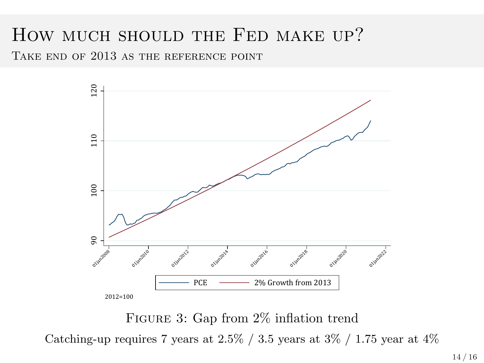#### How much should the Fed make up?

TAKE END OF 2013 AS THE REFERENCE POINT



FIGURE 3: Gap from  $2\%$  inflation trend Catching-up requires 7 years at  $2.5\%$  /  $3.5$  years at  $3\%$  /  $1.75$  year at  $4\%$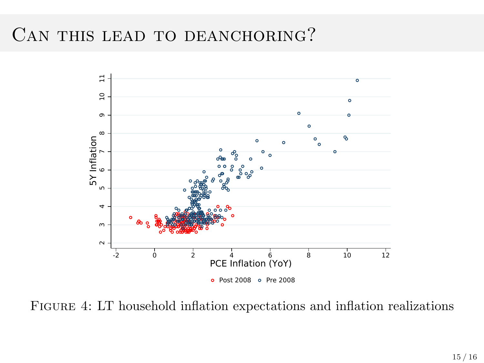#### CAN THIS LEAD TO DEANCHORING?



Figure 4: LT household inflation expectations and inflation realizations